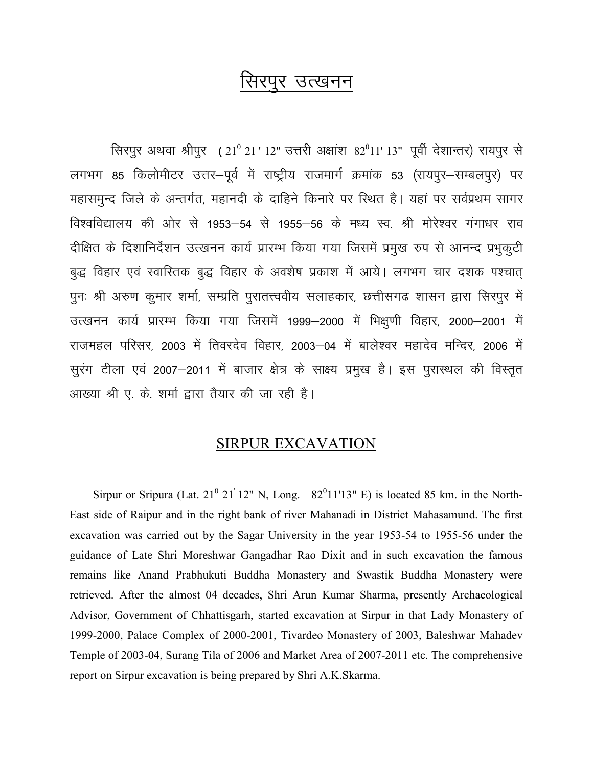## सिरपर उत्खनन

सिरपुर अथवा श्रीपुर (21º 21' 12" उत्तरी अक्षांश 82º11' 13" पूर्वी देशान्तर) रायपुर से लगभग 85 किलोमीटर उत्तर–पूर्व में राष्ट्रीय राजमार्ग क्रमांक 53 (रायपुर–सम्बलपुर) पर महासमुन्द जिले के अन्तर्गत, महानदी के दाहिने किनारे पर स्थित है। यहां पर सर्वप्रथम सागर विश्वविद्यालय की ओर से 1953–54 से 1955–56 के मध्य स्व. श्री मोरेश्वर गंगाधर राव दीक्षित के दिशानिर्देशन उत्खनन कार्य प्रारम्भ किया गया जिसमें प्रमुख रुप से आनन्द प्रभुकुटी बुद्ध विहार एवं स्वास्तिक बुद्ध विहार के अवशेष प्रकाश में आये। लगभग चार दशक पश्चात् पुनः श्री अरुण कुमार शर्मा, सम्प्रति पुरातत्त्ववीय सलाहकार, छत्तीसगढ शासन द्वारा सिरपुर में उत्खनन कार्य प्रारम्भ किया गया जिसमें 1999-2000 में भिक्षुणी विहार, 2000-2001 में राजमहल परिसर, 2003 में तिवरदेव विहार, 2003-04 में बालेश्वर महादेव मन्दिर, 2006 में सुरंग टीला एवं 2007–2011 में बाजार क्षेत्र के साक्ष्य प्रमुख है। इस पुरास्थल की विस्तृत आख्या श्री ए. के. शर्मा द्वारा तैयार की जा रही है।

## **SIRPUR EXCAVATION**

Sirpur or Sripura (Lat.  $21^{\circ}$  21'12" N, Long. 82<sup>0</sup>11'13" E) is located 85 km. in the North-East side of Raipur and in the right bank of river Mahanadi in District Mahasamund. The first excavation was carried out by the Sagar University in the year 1953-54 to 1955-56 under the guidance of Late Shri Moreshwar Gangadhar Rao Dixit and in such excavation the famous remains like Anand Prabhukuti Buddha Monastery and Swastik Buddha Monastery were retrieved. After the almost 04 decades, Shri Arun Kumar Sharma, presently Archaeological Advisor, Government of Chhattisgarh, started excavation at Sirpur in that Lady Monastery of 1999-2000, Palace Complex of 2000-2001, Tivardeo Monastery of 2003, Baleshwar Mahadev Temple of 2003-04, Surang Tila of 2006 and Market Area of 2007-2011 etc. The comprehensive report on Sirpur excavation is being prepared by Shri A.K.Skarma.